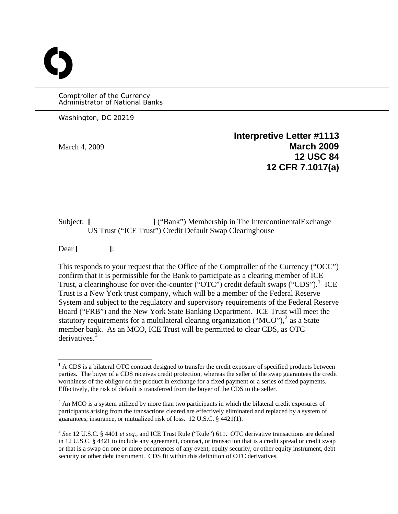Comptroller of the Currency Administrator of National Banks

Washington, DC 20219

O

**Interpretive Letter #1113**  March 4, 2009 **March 2009 12 USC 84 12 CFR 7.1017(a)**

Subject: **[ l** ("Bank") Membership in The IntercontinentalExchange US Trust ("ICE Trust") Credit Default Swap Clearinghouse

Dear **[ ]**:

This responds to your request that the Office of the Comptroller of the Currency ("OCC") confirm that it is permissible for the Bank to participate as a clearing member of ICE Trust, a clearinghouse for over-the-counter (" $\overline{OTC}$ ") credit default swaps ("CDS").<sup>[1](#page-0-0)</sup> ICE Trust is a New York trust company, which will be a member of the Federal Reserve System and subject to the regulatory and supervisory requirements of the Federal Reserve Board ("FRB") and the New York State Banking Department. ICE Trust will meet the statutory requirements for a multilateral clearing organization ("MCO"),<sup>[2](#page-0-1)</sup> as a State member bank. As an MCO, ICE Trust will be permitted to clear CDS, as OTC derivatives.<sup>[3](#page-0-2)</sup>

<span id="page-0-0"></span><sup>&</sup>lt;sup>1</sup> A CDS is a bilateral OTC contract designed to transfer the credit exposure of specified products between parties. The buyer of a CDS receives credit protection, whereas the seller of the swap guarantees the credit worthiness of the obligor on the product in exchange for a fixed payment or a series of fixed payments. Effectively, the risk of default is transferred from the buyer of the CDS to the seller.

<span id="page-0-1"></span> $2^2$  An MCO is a system utilized by more than two participants in which the bilateral credit exposures of participants arising from the transactions cleared are effectively eliminated and replaced by a system of guarantees, insurance, or mutualized risk of loss. 12 U.S.C. § 4421(1).

<span id="page-0-2"></span><sup>3</sup> *See* 12 U.S.C. § 4401 *et seq.,* and ICE Trust Rule ("Rule") 611.OTC derivative transactions are defined in 12 U.S.C. § 4421 to include any agreement, contract, or transaction that is a credit spread or credit swap or that is a swap on one or more occurrences of any event, equity security, or other equity instrument, debt security or other debt instrument. CDS fit within this definition of OTC derivatives.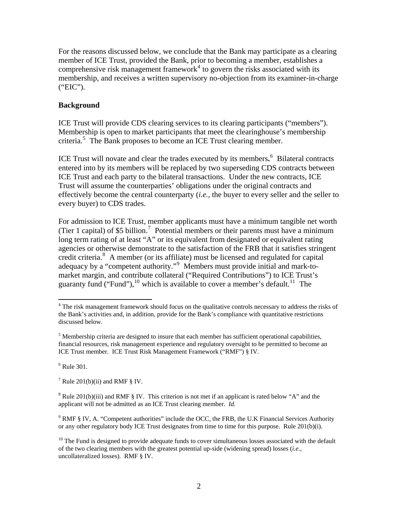For the reasons discussed below, we conclude that the Bank may participate as a clearing member of ICE Trust, provided the Bank, prior to becoming a member, establishes a comprehensive risk management framework<sup>[4](#page-1-0)</sup> to govern the risks associated with its membership, and receives a written supervisory no-objection from its examiner-in-charge ("EIC").

### **Background**

ICE Trust will provide CDS clearing services to its clearing participants ("members"). Membership is open to market participants that meet the clearinghouse's membership criteria.[5](#page-1-1) The Bank proposes to become an ICE Trust clearing member.

ICE Trust will novate and clear the trades executed by its members**.** [6](#page-1-2) Bilateral contracts entered into by its members will be replaced by two superseding CDS contracts between ICE Trust and each party to the bilateral transactions. Under the new contracts, ICE Trust will assume the counterparties' obligations under the original contracts and effectively become the central counterparty (*i.e.,* the buyer to every seller and the seller to every buyer) to CDS trades.

For admission to ICE Trust, member applicants must have a minimum tangible net worth (Tier 1 capital) of \$5 billion.<sup>[7](#page-1-3)</sup> Potential members or their parents must have a minimum long term rating of at least "A" or its equivalent from designated or equivalent rating agencies or otherwise demonstrate to the satisfaction of the FRB that it satisfies stringent credit criteria.<sup>[8](#page-1-4)</sup> A member (or its affiliate) must be licensed and regulated for capital adequacy by a "competent authority."<sup>[9](#page-1-5)</sup> Members must provide initial and mark-tomarket margin, and contribute collateral ("Required Contributions") to ICE Trust's guaranty fund ("Fund"), $^{10}$  $^{10}$  $^{10}$  which is available to cover a member's default.<sup>[11](#page-1-7)</sup> The

<span id="page-1-2"></span> $6$  Rule 301.

<span id="page-1-7"></span> $\overline{a}$ 

<span id="page-1-3"></span><sup>7</sup> Rule 201(b)(ii) and RMF  $\S$  IV.

<span id="page-1-0"></span><sup>&</sup>lt;sup>4</sup> The risk management framework should focus on the qualitative controls necessary to address the risks of the Bank's activities and, in addition, provide for the Bank's compliance with quantitative restrictions discussed below.

<span id="page-1-1"></span> $<sup>5</sup>$  Membership criteria are designed to insure that each member has sufficient operational capabilities,</sup> financial resources, risk management experience and regulatory oversight to be permitted to become an ICE Trust member. ICE Trust Risk Management Framework ("RMF") § IV.

<span id="page-1-4"></span><sup>&</sup>lt;sup>8</sup> Rule 201(b)(iii) and RMF § IV. This criterion is not met if an applicant is rated below "A" and the applicant will not be admitted as an ICE Trust clearing member. *Id.* 

<span id="page-1-5"></span> $9$  RMF § IV, A. "Competent authorities" include the OCC, the FRB, the U.K Financial Services Authority or any other regulatory body ICE Trust designates from time to time for this purpose. Rule 201(b)(i).

<span id="page-1-6"></span> $10$  The Fund is designed to provide adequate funds to cover simultaneous losses associated with the default of the two clearing members with the greatest potential up-side (widening spread) losses (*i.e.,* uncollateralized losses). RMF § IV.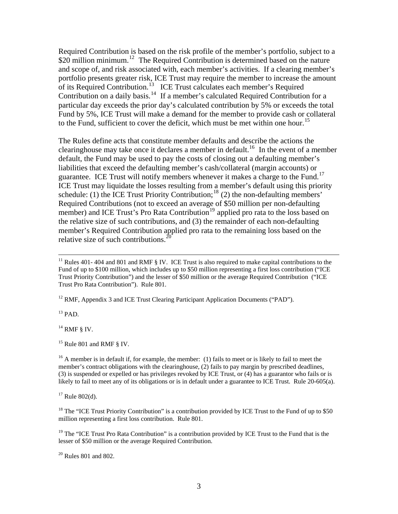Required Contribution is based on the risk profile of the member's portfolio, subject to a  $$20$  million minimum.<sup>[12](#page-2-0)</sup> The Required Contribution is determined based on the nature and scope of, and risk associated with, each member's activities. If a clearing member's portfolio presents greater risk, ICE Trust may require the member to increase the amount of its Required Contribution.<sup>[13](#page-2-1)</sup> ICE Trust calculates each member's Required Contribution on a daily basis.<sup>[14](#page-2-2)</sup> If a member's calculated Required Contribution for a particular day exceeds the prior day's calculated contribution by 5% or exceeds the total Fund by 5%, ICE Trust will make a demand for the member to provide cash or collateral to the Fund, sufficient to cover the deficit, which must be met within one hour.<sup>[15](#page-2-3)</sup>

The Rules define acts that constitute member defaults and describe the actions the clearinghouse may take once it declares a member in default.<sup>[16](#page-2-4)</sup> In the event of a member default, the Fund may be used to pay the costs of closing out a defaulting member's liabilities that exceed the defaulting member's cash/collateral (margin accounts) or guarantee. ICE Trust will notify members whenever it makes a charge to the Fund.<sup>[17](#page-2-5)</sup> ICE Trust may liquidate the losses resulting from a member's default using this priority schedule: (1) the ICE Trust Priority Contribution;<sup>[18](#page-2-6)</sup> (2) the non-defaulting members' Required Contributions (not to exceed an average of \$50 million per non-defaulting member) and ICE Trust's Pro Rata Contribution<sup>[19](#page-2-7)</sup> applied pro rata to the loss based on the relative size of such contributions, and (3) the remainder of each non-defaulting member's Required Contribution applied pro rata to the remaining loss based on the relative size of such contributions.<sup>2</sup>

<span id="page-2-0"></span><sup>12</sup> RMF, Appendix 3 and ICE Trust Clearing Participant Application Documents ("PAD").

<span id="page-2-1"></span> $13$  PAD.

<span id="page-2-2"></span> $14$  RMF § IV.

<span id="page-2-3"></span> $15$  Rule 801 and RMF § IV.

<span id="page-2-4"></span><sup>16</sup> A member is in default if, for example, the member: (1) fails to meet or is likely to fail to meet the member's contract obligations with the clearinghouse, (2) fails to pay margin by prescribed deadlines, (3) is suspended or expelled or has privileges revoked by ICE Trust, or (4) has a guarantor who fails or is likely to fail to meet any of its obligations or is in default under a guarantee to ICE Trust. Rule 20-605(a).

<span id="page-2-5"></span> $17$  Rule 802(d).

<span id="page-2-6"></span><sup>18</sup> The "ICE Trust Priority Contribution" is a contribution provided by ICE Trust to the Fund of up to \$50 million representing a first loss contribution. Rule 801.

<span id="page-2-7"></span> $19$  The "ICE Trust Pro Rata Contribution" is a contribution provided by ICE Trust to the Fund that is the lesser of \$50 million or the average Required Contribution.

<span id="page-2-8"></span>20 Rules 801 and 802.

<sup>&</sup>lt;sup>11</sup> Rules 401-404 and 801 and RMF  $\S$  IV. ICE Trust is also required to make capital contributions to the Fund of up to \$100 million, which includes up to \$50 million representing a first loss contribution ("ICE Trust Priority Contribution") and the lesser of \$50 million or the average Required Contribution ("ICE Trust Pro Rata Contribution"). Rule 801.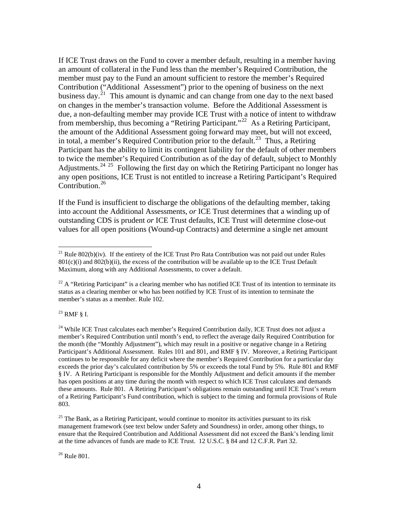If ICE Trust draws on the Fund to cover a member default, resulting in a member having an amount of collateral in the Fund less than the member's Required Contribution, the member must pay to the Fund an amount sufficient to restore the member's Required Contribution ("Additional Assessment") prior to the opening of business on the next business day.<sup>[21](#page-3-0)</sup> This amount is dynamic and can change from one day to the next based on changes in the member's transaction volume. Before the Additional Assessment is due, a non-defaulting member may provide ICE Trust with a notice of intent to withdraw from membership, thus becoming a "Retiring Participant."[22](#page-3-1) As a Retiring Participant, the amount of the Additional Assessment going forward may meet, but will not exceed, in total, a member's Required Contribution prior to the default.<sup>[23](#page-3-2)</sup> Thus, a Retiring Participant has the ability to limit its contingent liability for the default of other members to twice the member's Required Contribution as of the day of default, subject to Monthly Adjustments.<sup>[24](#page-3-3) [25](#page-3-4)</sup> Following the first day on which the Retiring Participant no longer has any open positions, ICE Trust is not entitled to increase a Retiring Participant's Required Contribution. $26$ 

If the Fund is insufficient to discharge the obligations of the defaulting member, taking into account the Additional Assessments, *or* ICE Trust determines that a winding up of outstanding CDS is prudent *or* ICE Trust defaults, ICE Trust will determine close-out values for all open positions (Wound-up Contracts) and determine a single net amount

<span id="page-3-2"></span>23 RMF § I.

 $\overline{a}$ 

<span id="page-3-0"></span><sup>&</sup>lt;sup>21</sup> Rule 802(b)(iv). If the entirety of the ICE Trust Pro Rata Contribution was not paid out under Rules  $801(c)(i)$  and  $802(b)(ii)$ , the excess of the contribution will be available up to the ICE Trust Default Maximum, along with any Additional Assessments, to cover a default.

<span id="page-3-1"></span><sup>&</sup>lt;sup>22</sup> A "Retiring Participant" is a clearing member who has notified ICE Trust of its intention to terminate its status as a clearing member or who has been notified by ICE Trust of its intention to terminate the member's status as a member. Rule 102.

<span id="page-3-3"></span> $^{24}$  While ICE Trust calculates each member's Required Contribution daily, ICE Trust does not adjust a member's Required Contribution until month's end, to reflect the average daily Required Contribution for the month (the "Monthly Adjustment"), which may result in a positive or negative change in a Retiring Participant's Additional Assessment. Rules 101 and 801, and RMF § IV. Moreover, a Retiring Participant continues to be responsible for any deficit where the member's Required Contribution for a particular day exceeds the prior day's calculated contribution by 5% or exceeds the total Fund by 5%. Rule 801 and RMF § IV. A Retiring Participant is responsible for the Monthly Adjustment and deficit amounts if the member has open positions at any time during the month with respect to which ICE Trust calculates and demands these amounts. Rule 801. A Retiring Participant's obligations remain outstanding until ICE Trust's return of a Retiring Participant's Fund contribution, which is subject to the timing and formula provisions of Rule 803.

<span id="page-3-4"></span> $25$  The Bank, as a Retiring Participant, would continue to monitor its activities pursuant to its risk management framework (see text below under Safety and Soundness) in order, among other things, to ensure that the Required Contribution and Additional Assessment did not exceed the Bank's lending limit at the time advances of funds are made to ICE Trust. 12 U.S.C. § 84 and 12 C.F.R. Part 32.

<span id="page-3-5"></span> $26$  Rule 801.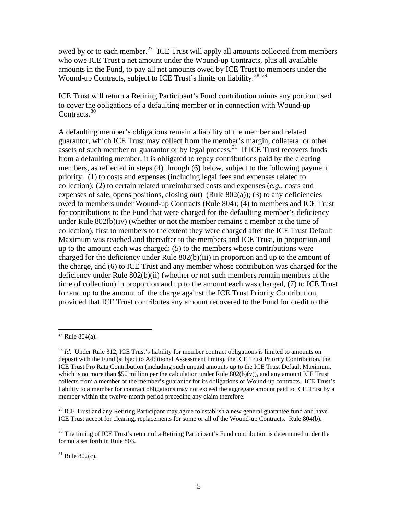owed by or to each member.<sup>[27](#page-4-0)</sup> ICE Trust will apply all amounts collected from members who owe ICE Trust a net amount under the Wound-up Contracts, plus all available amounts in the Fund, to pay all net amounts owed by ICE Trust to members under the Wound-up Contracts, subject to ICE Trust's limits on liability.<sup>[28](#page-4-1)</sup> <sup>[29](#page-4-2)</sup>

ICE Trust will return a Retiring Participant's Fund contribution minus any portion used to cover the obligations of a defaulting member or in connection with Wound-up Contracts.<sup>[30](#page-4-3)</sup>

A defaulting member's obligations remain a liability of the member and related guarantor, which ICE Trust may collect from the member's margin, collateral or other assets of such member or guarantor or by legal process.<sup>[31](#page-4-4)</sup> If ICE Trust recovers funds from a defaulting member, it is obligated to repay contributions paid by the clearing members, as reflected in steps (4) through (6) below, subject to the following payment priority: (1) to costs and expenses (including legal fees and expenses related to collection); (2) to certain related unreimbursed costs and expenses (*e.g.,* costs and expenses of sale, opens positions, closing out) (Rule  $802(a)$ ); (3) to any deficiencies owed to members under Wound-up Contracts (Rule 804); (4) to members and ICE Trust for contributions to the Fund that were charged for the defaulting member's deficiency under Rule 802(b)(iv) (whether or not the member remains a member at the time of collection), first to members to the extent they were charged after the ICE Trust Default Maximum was reached and thereafter to the members and ICE Trust, in proportion and up to the amount each was charged; (5) to the members whose contributions were charged for the deficiency under Rule 802(b)(iii) in proportion and up to the amount of the charge, and (6) to ICE Trust and any member whose contribution was charged for the deficiency under Rule 802(b)(ii) (whether or not such members remain members at the time of collection) in proportion and up to the amount each was charged, (7) to ICE Trust for and up to the amount of the charge against the ICE Trust Priority Contribution, provided that ICE Trust contributes any amount recovered to the Fund for credit to the

 $\overline{a}$ 

<span id="page-4-0"></span> $27$  Rule 804(a).

<span id="page-4-1"></span><sup>28</sup> *Id.* Under Rule 312, ICE Trust's liability for member contract obligations is limited to amounts on deposit with the Fund (subject to Additional Assessment limits), the ICE Trust Priority Contribution, the ICE Trust Pro Rata Contribution (including such unpaid amounts up to the ICE Trust Default Maximum, which is no more than \$50 million per the calculation under Rule  $802(b)(v)$ ), and any amount ICE Trust collects from a member or the member's guarantor for its obligations or Wound-up contracts. ICE Trust's liability to a member for contract obligations may not exceed the aggregate amount paid to ICE Trust by a member within the twelve-month period preceding any claim therefore.

<span id="page-4-2"></span><sup>&</sup>lt;sup>29</sup> ICE Trust and any Retiring Participant may agree to establish a new general guarantee fund and have ICE Trust accept for clearing, replacements for some or all of the Wound-up Contracts. Rule 804(b).

<span id="page-4-3"></span> $30$  The timing of ICE Trust's return of a Retiring Participant's Fund contribution is determined under the formula set forth in Rule 803.

<span id="page-4-4"></span> $31$  Rule 802(c).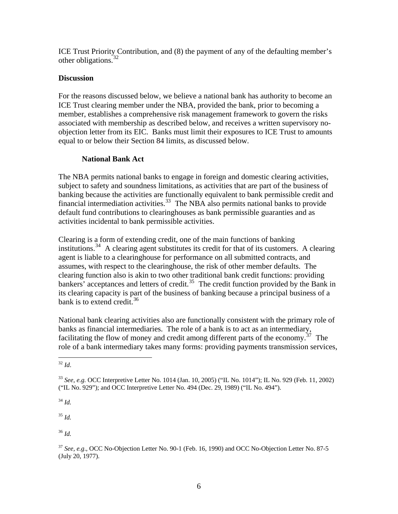ICE Trust Priority Contribution, and (8) the payment of any of the defaulting member's other obligations.<sup>[32](#page-5-0)</sup>

### **Discussion**

For the reasons discussed below, we believe a national bank has authority to become an ICE Trust clearing member under the NBA, provided the bank, prior to becoming a member, establishes a comprehensive risk management framework to govern the risks associated with membership as described below, and receives a written supervisory noobjection letter from its EIC. Banks must limit their exposures to ICE Trust to amounts equal to or below their Section 84 limits, as discussed below.

## **National Bank Act**

The NBA permits national banks to engage in foreign and domestic clearing activities, subject to safety and soundness limitations, as activities that are part of the business of banking because the activities are functionally equivalent to bank permissible credit and financial intermediation activities.<sup>[33](#page-5-1)</sup> The NBA also permits national banks to provide default fund contributions to clearinghouses as bank permissible guaranties and as activities incidental to bank permissible activities.

Clearing is a form of extending credit, one of the main functions of banking institutions.<sup>[34](#page-5-2)</sup> A clearing agent substitutes its credit for that of its customers. A clearing agent is liable to a clearinghouse for performance on all submitted contracts, and assumes, with respect to the clearinghouse, the risk of other member defaults. The clearing function also is akin to two other traditional bank credit functions: providing bankers' acceptances and letters of credit.<sup>[35](#page-5-3)</sup> The credit function provided by the Bank in its clearing capacity is part of the business of banking because a principal busine ss of a bank is to extend credit.<sup>36</sup>

National bank clearing activities also are functionally consistent with the primary role of role of a bank intermediary takes many forms: providing payments transmission services, banks as financial intermediaries. The role of a bank is to act as an intermediary, facilitating the flow of money and credit among different parts of the economy.<sup>[37](#page-5-4)</sup> The

<span id="page-5-3"></span><sup>35</sup> *Id.*

<sup>36</sup> *Id.* 

<span id="page-5-0"></span> $\overline{a}$ <sup>32</sup> *Id*.

<span id="page-5-1"></span><sup>33</sup> *See, e.g.* OCC Interpretive Letter No. 1014 (Jan. 10, 2005) ("IL No. 1014"); IL No. 929 (Feb. 11, 2002) ("IL No. 929"); and OCC Interpretive Letter No. 494 (Dec. 29, 1989) ("IL No. 494").

<span id="page-5-2"></span><sup>34</sup> *Id.*

<span id="page-5-4"></span><sup>37</sup> *See, e.g*., OCC No-Objection Letter No. 90-1 (Feb. 16, 1990) and OCC No-Objection Letter No. 87-5 (July 20, 1977).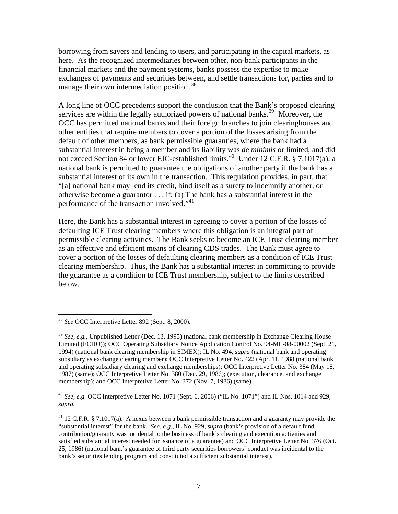borrowing from savers and lending to users, and participating in the capital markets, as here. As the recognized intermediaries between other, non-bank participants in th e financial markets and the payment systems, banks possess the expertise to make exchanges of payments and securities betwee n, and settle transactions for, parties and to manage their own intermediation position.<sup>38</sup>

A long line of OCC precedents support the conclusion that the Bank's proposed clearing OCC has permitted national banks and their foreign branches to join clearinghouses and other entities that require members to cover a portion of the losses arising from the "[a] national bank may lend its credit, bind itself as a surety to indemnify another, or otherwise become a guarantor  $\dots$  if: (a) The bank has a substantial interest in the performance of the transaction involved."<sup>41</sup> services are within the legally authorized powers of national banks.<sup>[39](#page-6-0)</sup> Moreover, the default of other members, as bank permissible guaranties, where the bank had a substantial interest in being a member and its liability was *de minimis* or limited, and did not exceed Section 84 or lower EIC-established limits.<sup>[40](#page-6-1)</sup> Under 12 C.F.R. § 7.1017(a), a national bank is permitted to guarantee the obligations of another party if the bank has a substantial interest of its own in the transaction. This regulation provides, in part, that

Here, the Bank has a substantial interest in agreeing to cover a portion of the losses of clearing membership. Thus, the Bank has a substantial interest in committing to provide the guarantee as a condition to ICE Trust membership, subject to the limits described below. defaulting ICE Trust clearing members where this obligation is an integral part of permissible clearing activities. The Bank seeks to become an ICE Trust clearing member as an effective and efficient means of clearing CDS trades. The Bank must agree to cover a portion of the losses of defaulting clearing members as a condition of ICE Trust

 $\overline{a}$ 

<sup>38</sup> *See* OCC Interpretive Letter 892 (Sept. 8, 2000).

<span id="page-6-0"></span><sup>39</sup> *See, e.g.,* Unpublished Letter (Dec. 13, 1995) (national bank membership in Exchange Clearing House Limited (ECHO)); OCC Operating Subsidiary Notice Application Control No. 94-ML-08-00002 (Sept. 21, 1994) (national bank clearing membership in SIMEX); IL No. 494, *supra* (national bank and operating subsidiary as exchange clearing member); OCC Interpretive Letter No. 422 (Apr. 11, 1988 (national bank and operating subsidiary clearing and exchange memberships); OCC Interpretive Letter No. 384 (May 18, 1987) (same); OCC Interpretive Letter No. 380 (Dec. 29, 1986); (execution, clearance, and exchange membership); and OCC Interpretive Letter No. 372 (Nov. 7, 1986) (same).

<span id="page-6-1"></span><sup>40</sup> *See, e.g.* OCC Interpretive Letter No. 1071 (Sept. 6, 2006) ("IL No. 1071") and IL Nos. 1014 and 929, *supra.*

<sup>41 12</sup> C.F.R. § 7.1017(a). A nexus between a bank permissible transaction and a guaranty may provide the "substantial interest" for the bank. *See, e.g.*, IL No. 929, *supra* (bank's provision of a default fund contribution/guaranty was incidental to the business of bank's clearing and execution activities and satisfied substantial interest needed for issuance of a guarantee) and OCC Interpretive Letter No. 376 (Oct. 25, 1986) (national bank's guarantee of third party securities borrowers' conduct was incidental to the bank's securities lending program and constituted a sufficient substantial interest).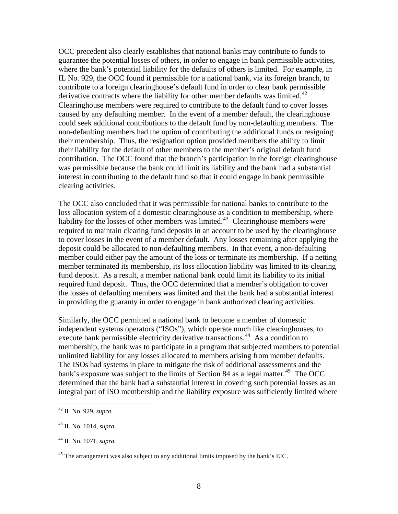OCC precedent also clearly establishes that national banks may contribute to funds to guarantee the potential losses of others, in order to engage in bank permissible activities , where the bank's potential liability for the defaults of others is limited. For example, in IL No. 929, the OCC found it permissible for a national bank, via its foreign branch, to contribute to a foreign clearinghouse's default fund in order to clear bank permissible derivative contracts where the liability for other member defaults was limited.<sup>[42](#page-7-0)</sup> could seek additional contributions to the default fund by non-defaulting members. The contribution. The OCC found that the branch's participation in the foreign clearinghouse was permissible because the bank could limit its liability and the bank had a substantial interest in contributing to the default fund so that it could engage in bank permissible Clearinghouse members were required to contribute to the default fund to cover losses caused by any defaulting member. In the event of a member default, the clearinghouse non-defaulting members had the option of contributing the additional funds or resigning their membership. Thus, the resignation option provided members the ability to limit their liability for the default of other members to the member's original default fund clearing activities.

required to maintain clearing fund deposits in an account to be used by the clearinghouse member could either pay the amount of the loss or terminate its membership. If a netting member terminated its membership, its loss allocation liability was limited to its clearing required fund deposit. Thus, the OCC determined that a member's obligation to cover the losses of defaulting members was limited and that the bank had a substantial interest in providing the guaranty in order to engage in bank authorized clearing activities. The OCC also concluded that it was permissible for national banks to contribute to the loss allocation system of a domestic clearinghouse as a condition to membership, where liability for the losses of other members was limited.<sup>[43](#page-7-1)</sup> Clearinghouse members were to cover losses in the event of a member default. Any losses remaining after applying the deposit could be allocated to non-defaulting members. In that event, a non-defaulting fund deposit. As a result, a member national bank could limit its liability to its initial

membership, the bank was to participate in a program that subjected members to potential determined that the bank had a substantial interest in covering such potential losses as an integral part of ISO membership and the liability exposure was sufficiently limited where Similarly, the OCC permitted a national bank to become a member of domestic independent systems operators ("ISOs"), which operate much like clearinghouses, to execute bank permissible electricity derivative transactions.<sup>[44](#page-7-2)</sup> As a condition to unlimited liability for any losses allocated to members arising from member defaults. The ISOs had systems in place to mitigate the risk of additional assessments and the bank's exposure was subject to the limits of Section 84 as a legal matter.<sup>[45](#page-7-3)</sup> The OCC

1

<span id="page-7-0"></span><sup>42</sup> IL No. 929, *supra*.

<span id="page-7-1"></span><sup>43</sup> IL No. 1014, *supra*.

<span id="page-7-2"></span><sup>44</sup> IL No. 1071, *supra.* 

<span id="page-7-3"></span> $45$  The arrangement was also subject to any additional limits imposed by the bank's EIC.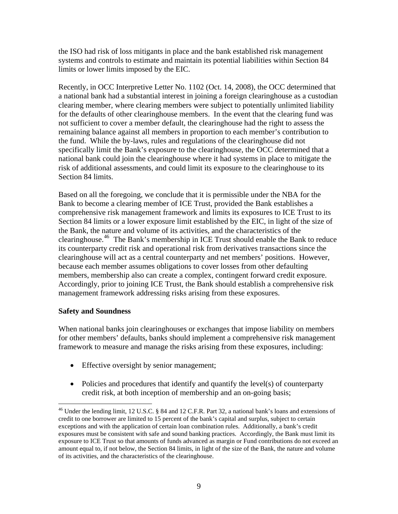the ISO had risk of loss mitigants in place and the bank established risk management systems and controls to estimate and maintain its potential liabilities within Section 84 limits or lower limits imposed by the EIC.

for the defaults of other clearinghouse members. In the event that the clearing fund was remaining balance against all members in proportion to each member's contribution to national bank could join the clearinghouse where it had systems in place to mitigate the risk of additional assessments, and could limit its exposure to the clearinghouse to its Section 84 limits. Recently, in OCC Interpretive Letter No. 1102 (Oct. 14, 2008), the OCC determined that a national bank had a substantial interest in joining a foreign clearinghouse as a custodian clearing member, where clearing members were subject to potentially unlimited liability not sufficient to cover a member default, the clearinghouse had the right to assess the the fund. While the by-laws, rules and regulations of the clearinghouse did not specifically limit the Bank's exposure to the clearinghouse, the OCC determined that a

Based on all the foregoing, we conclude that it is permissible under the NBA for the Section 84 limits or a lower exposure limit established by the EIC, in light of the size of clearinghouse.<sup>[46](#page-8-0)</sup> The Bank's membership in ICE Trust should enable the Bank to reduce clearinghouse will act as a central counterparty and net members' positions. However, Accordingly, prior to joining ICE Trust, the Bank should establish a comprehensive risk management framework addressing risks arising from these exposures. Bank to become a clearing member of ICE Trust, provided the Bank establishes a comprehensive risk management framework and limits its exposures to ICE Trust to its the Bank, the nature and volume of its activities, and the characteristics of the its counterparty credit risk and operational risk from derivatives transactions since the because each member assumes obligations to cover losses from other defaulting members, membership also can create a complex, contingent forward credit exposure.

### **safety and Soundness**

1

for other members' defaults, banks should implement a comprehensive risk management framework to measure and manage the risks arising from these exposures, including: When national banks join clearinghouses or exchanges that impose liability on members

- Effective oversight by senior management;
- Policies and procedures that identify and quantify the level(s) of counterparty credit risk, at both inception of membership and an on-going basis;

<span id="page-8-0"></span><sup>&</sup>lt;sup>46</sup> Under the lending limit, 12 U.S.C. § 84 and 12 C.F.R. Part 32, a national bank's loans and extensions of credit to one borrower are limited to 15 percent of the bank's capital and surplus, subject to certain exceptions and with the application of certain loan combination rules. Additionally, a bank's credit exposures must be consistent with safe and sound banking practices. Accordingly, the Bank must limit its exposure to ICE Trust so that amounts of funds advanced as margin or Fund contributions do not exceed an amount equal to, if not below, the Section 84 limits, in light of the size of the Bank, the nature and volume of its activities, and the characteristics of the clearinghouse.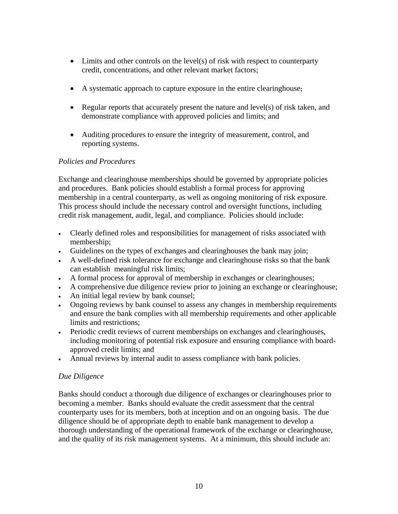- Limits and other controls on the level(s) of risk with respect to counterparty credit, concentrations, and other relevant market factors;
- A systematic approach to capture exposure in the entire clearinghouse;
- Regular reports that accurately present the nature and level(s) of risk taken, and demonstrate compliance with approved policies and limits; and
- Auditing procedures to ensure the integrity of measurement, control, and reporting systems.

# **Policies and Procedures**

Exchange and clearinghouse memberships should be governed by appropriate policies membership in a central counterparty, as well as ongoing monitoring of risk exposure. This process should include the necessary control and oversight functions, including credit risk management, audit, legal, and compliance. Policies should include: and procedures. Bank policies should establish a formal process for approving

- Clearly defined roles and responsibilities for management of risks associated with membership;
- Guidelines on the types of exchanges and clearinghouses the bank may join;
- A well-defined risk tolerance for exchange and clearinghouse risks so that the bank can establish meaningful risk limits;
- A formal process for approval of membership in exchanges or clearinghouses;
- A comprehensive due diligence review prior to joining an exchange or clearinghouse;
- An initial legal review by bank counsel;
- and ensure the bank complies with all membership requirements and other applicable • Ongoing reviews by bank counsel to assess any changes in membership requirements limits and restrictions;
- including monitoring of potential risk exposure and ensuring compliance with board-• Periodic credit reviews of current memberships on exchanges and clearinghouses, approved credit limits; and
- Annual reviews by internal audit to assess compliance with bank policies. •

## *Due Diligence*

Banks should conduct a thorough due diligence of exchanges or clearinghouses prior to counterparty uses for its members, both at inception and on an ongoing basis. The due and the quality of its risk management systems. At a minimum, this should include an: becoming a member. Banks should evaluate the credit assessment that the central diligence should be of appropriate depth to enable bank management to develop a thorough understanding of the operational framework of the exchange or clearinghouse,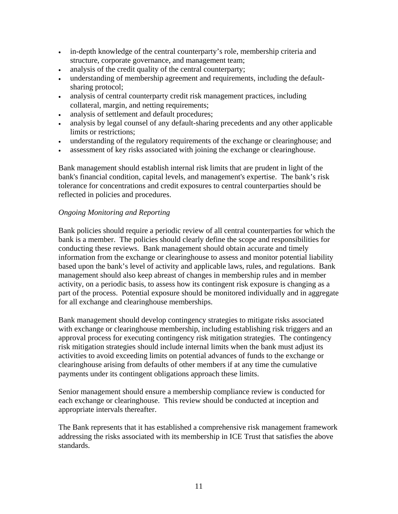- in-depth knowledge of the central counterparty's role, membership criteria and structure, corporate governance, and management team;
- analysis of the credit quality of the central counterparty;
- understanding of membership agreement and requirements, including the defaultsharing protocol;
- analysis of central counterparty credit risk management practices, including collateral, margin, and netting requirements;
- analysis of settlement and default procedures;
- analysis by legal counsel of any default-sharing precedents and any other applicable limits or restrictions;
- understanding of the regulatory requirements of the exchange or clearinghouse; and •
- assessment of key risks associated with joining the exchange or clearinghouse.

bank's financial condition, capital levels, and management's expertise. The bank's risk tolerance for concentrations and credit exposures to central counterparties should be Bank management should establish internal risk limits that are prudent in light of the reflected in policies and procedures.

### *Ongoing Monitoring and Reporting*

Bank policies should require a periodic review of all central counterparties for which the information from the exchange or clearinghouse to assess and monitor potential liability activity, on a periodic basis, to assess how its contingent risk exposure is changing as a part of the process. Potential exposure should be monitored individually and in aggregate bank is a member. The policies should clearly define the scope and responsibilities for conducting these reviews. Bank management should obtain accurate and timely based upon the bank's level of activity and applicable laws, rules, and regulations. Bank management should also keep abreast of changes in membership rules and in member for all exchange and clearinghouse memberships.

with exchange or clearinghouse membership, including establishing risk triggers and an approval process for executing contingency risk mitigation strategies. The contingency risk mitigation strategies should include internal limits when the bank must adjust its activities to avoid exceeding limits on potential advances of funds to the exchange or learinghouse arising from defaults of other members if at any time the cumulative c Bank management should develop contingency strategies to mitigate risks associated payments under its contingent obligations approach these limits.

Senior management should ensure a membership compliance review is conducted for each exchange or clearinghouse. This review should be conducted at inception and appropriate intervals thereafter.

The Bank represents that it has established a comprehensive risk management framework addressing the risks associated with its membership in ICE Trust that satisfies the above standards.